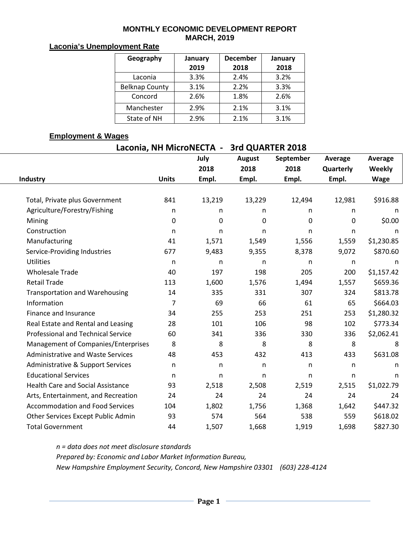#### **MONTHLY ECONOMIC DEVELOPMENT REPORT MARCH, 2019**

# **Laconia's Unemployment Rate**

| Geography             | January | <b>December</b> | January |  |  |
|-----------------------|---------|-----------------|---------|--|--|
|                       | 2019    | 2018            | 2018    |  |  |
| Laconia               | 3.3%    | 2.4%            | 3.2%    |  |  |
| <b>Belknap County</b> | 3.1%    | 2.2%            | 3.3%    |  |  |
| Concord               | 2.6%    | 1.8%            | 2.6%    |  |  |
| Manchester            | 2.9%    | 2.1%            | 3.1%    |  |  |
| State of NH           | 2.9%    | 2.1%            | 3.1%    |  |  |

### **Employment & Wages**

| Laconia, NH MicroNECTA - 3rd QUARTER 2018 |              |              |                       |                   |                      |                   |  |  |  |  |  |
|-------------------------------------------|--------------|--------------|-----------------------|-------------------|----------------------|-------------------|--|--|--|--|--|
|                                           |              | July<br>2018 | <b>August</b><br>2018 | September<br>2018 | Average<br>Quarterly | Average<br>Weekly |  |  |  |  |  |
| Industry                                  | <b>Units</b> | Empl.        | Empl.                 | Empl.             | Empl.                | <b>Wage</b>       |  |  |  |  |  |
|                                           |              |              |                       |                   |                      |                   |  |  |  |  |  |
| Total, Private plus Government            | 841          | 13,219       | 13,229                | 12,494            | 12,981               | \$916.88          |  |  |  |  |  |
| Agriculture/Forestry/Fishing              | n            | n            | n                     | n                 | n                    | n                 |  |  |  |  |  |
| Mining                                    | 0            | 0            | 0                     | 0                 | $\mathbf 0$          | \$0.00            |  |  |  |  |  |
| Construction                              | n            | n            | n.                    | n                 | n                    | n                 |  |  |  |  |  |
| Manufacturing                             | 41           | 1,571        | 1,549                 | 1,556             | 1,559                | \$1,230.85        |  |  |  |  |  |
| Service-Providing Industries              | 677          | 9,483        | 9,355                 | 8,378             | 9,072                | \$870.60          |  |  |  |  |  |
| <b>Utilities</b>                          | n            | n            | n                     | n                 | n                    | n                 |  |  |  |  |  |
| <b>Wholesale Trade</b>                    | 40           | 197          | 198                   | 205               | 200                  | \$1,157.42        |  |  |  |  |  |
| <b>Retail Trade</b>                       | 113          | 1,600        | 1,576                 | 1,494             | 1,557                | \$659.36          |  |  |  |  |  |
| <b>Transportation and Warehousing</b>     | 14           | 335          | 331                   | 307               | 324                  | \$813.78          |  |  |  |  |  |
| Information                               | 7            | 69           | 66                    | 61                | 65                   | \$664.03          |  |  |  |  |  |
| Finance and Insurance                     | 34           | 255          | 253                   | 251               | 253                  | \$1,280.32        |  |  |  |  |  |
| Real Estate and Rental and Leasing        | 28           | 101          | 106                   | 98                | 102                  | \$773.34          |  |  |  |  |  |
| <b>Professional and Technical Service</b> | 60           | 341          | 336                   | 330               | 336                  | \$2,062.41        |  |  |  |  |  |
| Management of Companies/Enterprises       | 8            | 8            | 8                     | 8                 | 8                    | 8                 |  |  |  |  |  |
| <b>Administrative and Waste Services</b>  | 48           | 453          | 432                   | 413               | 433                  | \$631.08          |  |  |  |  |  |
| Administrative & Support Services         | $\mathsf{n}$ | n            | n.                    | n                 | n                    | $\mathsf{n}$      |  |  |  |  |  |
| <b>Educational Services</b>               | n            | n            | n.                    | n                 | n                    | n                 |  |  |  |  |  |
| <b>Health Care and Social Assistance</b>  | 93           | 2,518        | 2,508                 | 2,519             | 2,515                | \$1,022.79        |  |  |  |  |  |
| Arts, Entertainment, and Recreation       | 24           | 24           | 24                    | 24                | 24                   | 24                |  |  |  |  |  |
| <b>Accommodation and Food Services</b>    | 104          | 1,802        | 1,756                 | 1,368             | 1,642                | \$447.32          |  |  |  |  |  |
| Other Services Except Public Admin        | 93           | 574          | 564                   | 538               | 559                  | \$618.02          |  |  |  |  |  |
| <b>Total Government</b>                   | 44           | 1,507        | 1,668                 | 1,919             | 1,698                | \$827.30          |  |  |  |  |  |

*n = data does not meet disclosure standards Prepared by: Economic and Labor Market Information Bureau, New Hampshire Employment Security, Concord, New Hampshire 03301 (603) 228-4124*